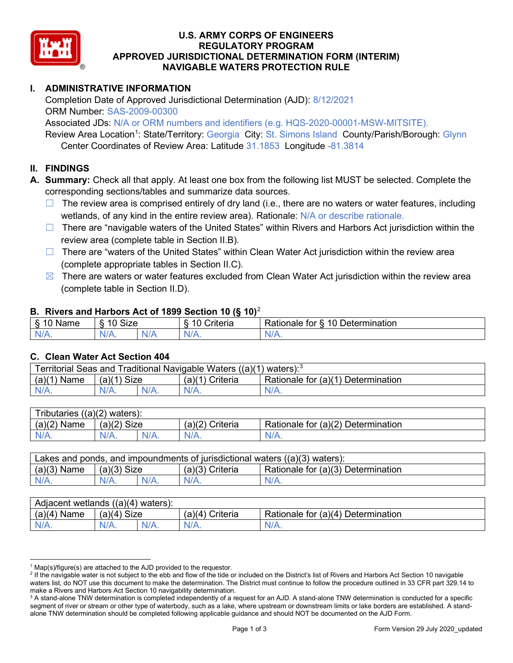

### U.S. ARMY CORPS OF ENGINEERS APPROVED JURISDICTIONAL DETERMINATION FORM (INTERIM) NAVIGABLE WATERS PROTECTION RULE REGULATORY PROGRAM

# I. ADMINISTRATIVE INFORMATION

 Completion Date of Approved Jurisdictional Determination (AJD): 8/12/2021 ORM Number: SAS-2009-00300

 Associated JDs: N/A or ORM numbers and identifiers (e.g. HQS-2020-00001-MSW-MITSITE). Review Area Location<sup>1</sup>: State/Territory: Georgia City: St. Simons Island County/Parish/Borough: Glynn Center Coordinates of Review Area: Latitude 31.1853 Longitude -81.3814

### II. FINDINGS

A. Summary: Check all that apply. At least one box from the following list MUST be selected. Complete the corresponding sections/tables and summarize data sources.

- □ The review area is comprised entirely of dry land (i.e., there are no waters or water features, including wetlands, of any kind in the entire review area). Rationale: N/A or describe rationale.
- □ There are "navigable waters of the United States" within Rivers and Harbors Act jurisdiction within the review area (complete table in Section II.B).
- □ There are "waters of the United States" within Clean Water Act jurisdiction within the review area (complete appropriate tables in Section II.C).
- $\boxtimes$  There are waters or water features excluded from Clean Water Act jurisdiction within the review area (complete table in Section II.D).

### B. Rivers and Harbors Act of 1899 Section 10 (§ 10)<sup>2</sup>

| $  -$<br>,,,<br>- 12 | $\sim$<br>$\overline{A}$<br>. . <u>. .</u> .<br>FIZE |         | $\cdot$<br>r<br>▰<br>HIL. | .10 <sup>5</sup><br>⊃etermınatıon<br>$-1 - 1 - 1$<br>tor<br>≺ationaie |
|----------------------|------------------------------------------------------|---------|---------------------------|-----------------------------------------------------------------------|
| N/A.                 | $\mathbf{M}$<br>$\mathbf{v}$                         | NL<br>. | VIA.                      | n.<br>,,,,,,                                                          |

#### C. Clean Water Act Section 404

| Territorial Seas and Traditional Navigable Waters $((a)(1)$ waters): <sup>3</sup> |                |  |                                 |                                    |  |
|-----------------------------------------------------------------------------------|----------------|--|---------------------------------|------------------------------------|--|
| (a)(1)<br>Name                                                                    | Size<br>(a)(1) |  | (a)(1<br><sup>''</sup> Criteria | Rationale for (a)(1) Determination |  |
|                                                                                   | $N/A$ .        |  | $N/A$ .                         | $N/A$ .                            |  |

| Tributaries<br>$((a)(2)$ waters): |                |         |                    |                                    |  |  |
|-----------------------------------|----------------|---------|--------------------|------------------------------------|--|--|
| (a)(2)<br>Name                    | (a)(2)<br>Size |         | Criteria<br>(a)(2) | Rationale for (a)(2) Determination |  |  |
| $N/A$ .                           | $N/A$ .        | $N/A$ . | $N/A$ .            | N/A.                               |  |  |

| Lakes and ponds, and impoundments of jurisdictional waters $((a)(3)$ waters): |               |         |                   |                                    |  |
|-------------------------------------------------------------------------------|---------------|---------|-------------------|------------------------------------|--|
| $(a)(3)$ Name                                                                 | $(a)(3)$ Size |         | $(a)(3)$ Criteria | Rationale for (a)(3) Determination |  |
| $N/A$ .                                                                       |               | $N/A$ . | $N/A$ .           | $N/A$ .                            |  |

| Adjacent<br>((a)(4)<br>I) waters):<br>wetlands |                       |         |                   |                                                       |  |  |
|------------------------------------------------|-----------------------|---------|-------------------|-------------------------------------------------------|--|--|
| (a)(4)<br>Name                                 | (a)(4)<br><b>Size</b> |         | (a)(4<br>Criteria | .∪r (a)(4) $\Gamma$<br>Rationale for<br>Determination |  |  |
| N/A.                                           | 97 A                  | $N/A$ . | $N/A$ .           | $N/A$ .                                               |  |  |

 $1$  Map(s)/figure(s) are attached to the AJD provided to the requestor.

<sup>&</sup>lt;sup>2</sup> If the navigable water is not subject to the ebb and flow of the tide or included on the District's list of Rivers and Harbors Act Section 10 navigable waters list, do NOT use this document to make the determination. The District must continue to follow the procedure outlined in 33 CFR part 329.14 to make a Rivers and Harbors Act Section 10 navigability determination.

 $^3$  A stand-alone TNW determination is completed independently of a request for an AJD. A stand-alone TNW determination is conducted for a specific segment of river or stream or other type of waterbody, such as a lake, where upstream or downstream limits or lake borders are established. A stand-alone TNW determination should be completed following applicable guidance and should NOT be documented on the AJD Form.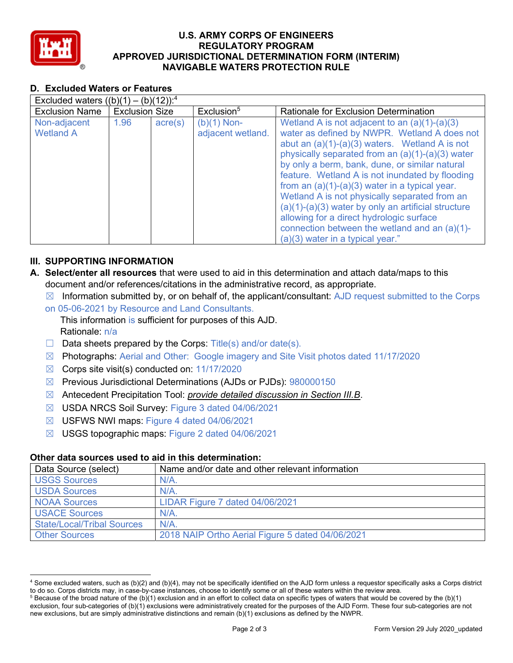

### U.S. ARMY CORPS OF ENGINEERS APPROVED JURISDICTIONAL DETERMINATION FORM (INTERIM) NAVIGABLE WATERS PROTECTION RULE REGULATORY PROGRAM

# D. Excluded Waters or Features

| Excluded waters $((b)(1) - (b)(12))$ : <sup>4</sup> |                       |                  |                                    |                                                                                                                                                                                                                                                                                                                                                                                                                                                                                                                                                                                                                 |  |  |
|-----------------------------------------------------|-----------------------|------------------|------------------------------------|-----------------------------------------------------------------------------------------------------------------------------------------------------------------------------------------------------------------------------------------------------------------------------------------------------------------------------------------------------------------------------------------------------------------------------------------------------------------------------------------------------------------------------------------------------------------------------------------------------------------|--|--|
| <b>Exclusion Name</b>                               | <b>Exclusion Size</b> |                  | Exclusion <sup>5</sup>             | Rationale for Exclusion Determination                                                                                                                                                                                                                                                                                                                                                                                                                                                                                                                                                                           |  |  |
| Non-adjacent<br><b>Wetland A</b>                    | 1.96                  | $\text{acre}(s)$ | $(b)(1)$ Non-<br>adjacent wetland. | Wetland A is not adjacent to an $(a)(1)-(a)(3)$<br>water as defined by NWPR. Wetland A does not<br>abut an $(a)(1)-(a)(3)$ waters. Wetland A is not<br>physically separated from an $(a)(1)-(a)(3)$ water<br>by only a berm, bank, dune, or similar natural<br>feature. Wetland A is not inundated by flooding<br>from an $(a)(1)-(a)(3)$ water in a typical year.<br>Wetland A is not physically separated from an<br>$(a)(1)-(a)(3)$ water by only an artificial structure<br>allowing for a direct hydrologic surface<br>connection between the wetland and an (a)(1)-<br>$(a)(3)$ water in a typical year." |  |  |

## III. SUPPORTING INFORMATION

- A. Select/enter all resources that were used to aid in this determination and attach data/maps to this document and/or references/citations in the administrative record, as appropriate.
	- $\boxtimes$  Information submitted by, or on behalf of, the applicant/consultant: AJD request submitted to the Corps
	- on 05-06-2021 by Resource and Land Consultants.

 This information is sufficient for purposes of this AJD. Rationale: n/a

- $\Box$  Data sheets prepared by the Corps: Title(s) and/or date(s).
- ☒ Photographs: Aerial and Other: Google imagery and Site Visit photos dated 11/17/2020
- ☒ Corps site visit(s) conducted on: 11/17/2020
- ☒ Previous Jurisdictional Determinations (AJDs or PJDs): 980000150
- ⊠ Antecedent Precipitation Tool: *provide detailed discussion in Section III.B*.
- ☒ USDA NRCS Soil Survey: Figure 3 dated 04/06/2021
- ☒ USFWS NWI maps: Figure 4 dated 04/06/2021
- ☒ USGS topographic maps: Figure 2 dated 04/06/2021

#### Other data sources used to aid in this determination:

| Data Source (select)              | Name and/or date and other relevant information  |
|-----------------------------------|--------------------------------------------------|
| <b>USGS Sources</b>               | N/A                                              |
| <b>USDA Sources</b>               | N/A                                              |
| <b>NOAA Sources</b>               | LIDAR Figure 7 dated 04/06/2021                  |
| <b>USACE Sources</b>              | $N/A$ .                                          |
| <b>State/Local/Tribal Sources</b> | N/A                                              |
| <b>Other Sources</b>              | 2018 NAIP Ortho Aerial Figure 5 dated 04/06/2021 |

 $^4$  Some excluded waters, such as (b)(2) and (b)(4), may not be specifically identified on the AJD form unless a requestor specifically asks a Corps district to do so. Corps districts may, in case-by-case instances, choose to identify some or all of these waters within the review area.

 $^5$  Because of the broad nature of the (b)(1) exclusion and in an effort to collect data on specific types of waters that would be covered by the (b)(1) exclusion, four sub-categories of (b)(1) exclusions were administratively created for the purposes of the AJD Form. These four sub-categories are not new exclusions, but are simply administrative distinctions and remain (b)(1) exclusions as defined by the NWPR.